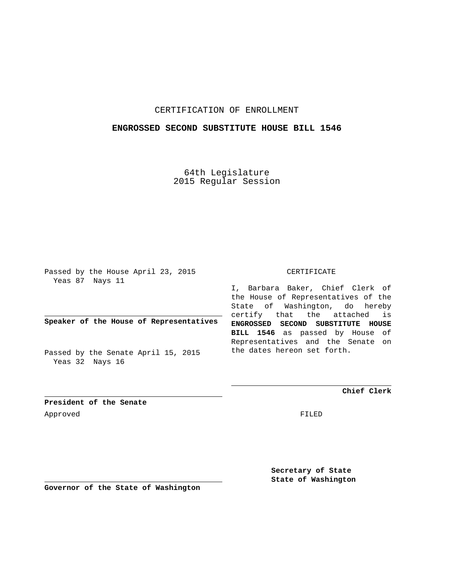## CERTIFICATION OF ENROLLMENT

### **ENGROSSED SECOND SUBSTITUTE HOUSE BILL 1546**

64th Legislature 2015 Regular Session

Passed by the House April 23, 2015 Yeas 87 Nays 11

**Speaker of the House of Representatives**

Passed by the Senate April 15, 2015 Yeas 32 Nays 16

#### CERTIFICATE

I, Barbara Baker, Chief Clerk of the House of Representatives of the State of Washington, do hereby certify that the attached is **ENGROSSED SECOND SUBSTITUTE HOUSE BILL 1546** as passed by House of Representatives and the Senate on the dates hereon set forth.

**Chief Clerk**

**President of the Senate** Approved FILED

**Secretary of State State of Washington**

**Governor of the State of Washington**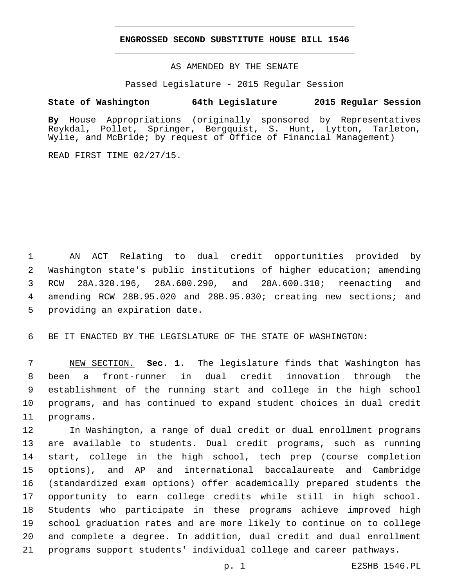### **ENGROSSED SECOND SUBSTITUTE HOUSE BILL 1546**

AS AMENDED BY THE SENATE

Passed Legislature - 2015 Regular Session

# **State of Washington 64th Legislature 2015 Regular Session**

**By** House Appropriations (originally sponsored by Representatives Reykdal, Pollet, Springer, Bergquist, S. Hunt, Lytton, Tarleton, Wylie, and McBride; by request of Office of Financial Management)

READ FIRST TIME 02/27/15.

 AN ACT Relating to dual credit opportunities provided by Washington state's public institutions of higher education; amending RCW 28A.320.196, 28A.600.290, and 28A.600.310; reenacting and amending RCW 28B.95.020 and 28B.95.030; creating new sections; and 5 providing an expiration date.

BE IT ENACTED BY THE LEGISLATURE OF THE STATE OF WASHINGTON:

 NEW SECTION. **Sec. 1.** The legislature finds that Washington has been a front-runner in dual credit innovation through the establishment of the running start and college in the high school programs, and has continued to expand student choices in dual credit programs.

 In Washington, a range of dual credit or dual enrollment programs are available to students. Dual credit programs, such as running start, college in the high school, tech prep (course completion options), and AP and international baccalaureate and Cambridge (standardized exam options) offer academically prepared students the opportunity to earn college credits while still in high school. Students who participate in these programs achieve improved high school graduation rates and are more likely to continue on to college and complete a degree. In addition, dual credit and dual enrollment programs support students' individual college and career pathways.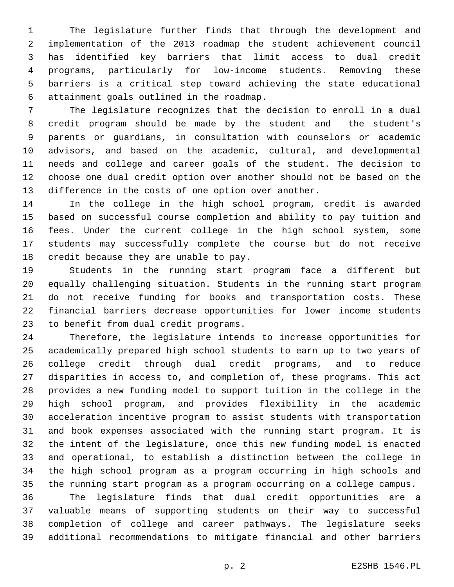The legislature further finds that through the development and implementation of the 2013 roadmap the student achievement council has identified key barriers that limit access to dual credit programs, particularly for low-income students. Removing these barriers is a critical step toward achieving the state educational attainment goals outlined in the roadmap.6

 The legislature recognizes that the decision to enroll in a dual credit program should be made by the student and the student's parents or guardians, in consultation with counselors or academic advisors, and based on the academic, cultural, and developmental needs and college and career goals of the student. The decision to choose one dual credit option over another should not be based on the difference in the costs of one option over another.

 In the college in the high school program, credit is awarded based on successful course completion and ability to pay tuition and fees. Under the current college in the high school system, some students may successfully complete the course but do not receive 18 credit because they are unable to pay.

 Students in the running start program face a different but equally challenging situation. Students in the running start program do not receive funding for books and transportation costs. These financial barriers decrease opportunities for lower income students 23 to benefit from dual credit programs.

 Therefore, the legislature intends to increase opportunities for academically prepared high school students to earn up to two years of college credit through dual credit programs, and to reduce disparities in access to, and completion of, these programs. This act provides a new funding model to support tuition in the college in the high school program, and provides flexibility in the academic acceleration incentive program to assist students with transportation and book expenses associated with the running start program. It is the intent of the legislature, once this new funding model is enacted and operational, to establish a distinction between the college in the high school program as a program occurring in high schools and the running start program as a program occurring on a college campus.

 The legislature finds that dual credit opportunities are a valuable means of supporting students on their way to successful completion of college and career pathways. The legislature seeks additional recommendations to mitigate financial and other barriers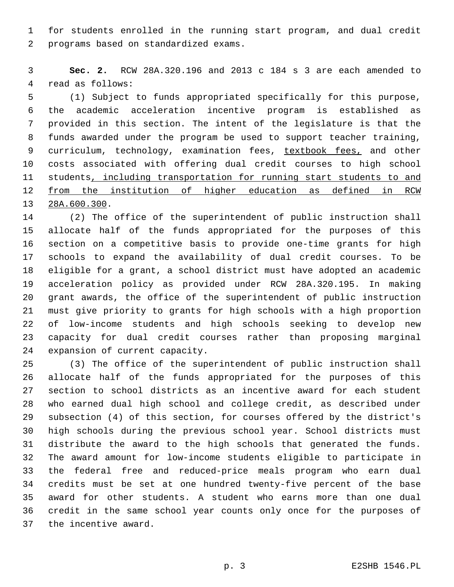for students enrolled in the running start program, and dual credit 2 programs based on standardized exams.

 **Sec. 2.** RCW 28A.320.196 and 2013 c 184 s 3 are each amended to 4 read as follows:

 (1) Subject to funds appropriated specifically for this purpose, the academic acceleration incentive program is established as provided in this section. The intent of the legislature is that the funds awarded under the program be used to support teacher training, 9 curriculum, technology, examination fees, textbook fees, and other costs associated with offering dual credit courses to high school students, including transportation for running start students to and from the institution of higher education as defined in RCW 13 28A.600.300.

 (2) The office of the superintendent of public instruction shall allocate half of the funds appropriated for the purposes of this section on a competitive basis to provide one-time grants for high schools to expand the availability of dual credit courses. To be eligible for a grant, a school district must have adopted an academic acceleration policy as provided under RCW 28A.320.195. In making grant awards, the office of the superintendent of public instruction must give priority to grants for high schools with a high proportion of low-income students and high schools seeking to develop new capacity for dual credit courses rather than proposing marginal 24 expansion of current capacity.

 (3) The office of the superintendent of public instruction shall allocate half of the funds appropriated for the purposes of this section to school districts as an incentive award for each student who earned dual high school and college credit, as described under subsection (4) of this section, for courses offered by the district's high schools during the previous school year. School districts must distribute the award to the high schools that generated the funds. The award amount for low-income students eligible to participate in the federal free and reduced-price meals program who earn dual credits must be set at one hundred twenty-five percent of the base award for other students. A student who earns more than one dual credit in the same school year counts only once for the purposes of 37 the incentive award.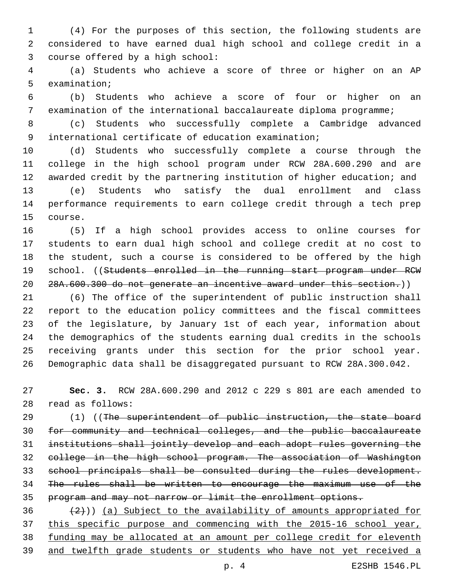(4) For the purposes of this section, the following students are considered to have earned dual high school and college credit in a 3 course offered by a high school:

 (a) Students who achieve a score of three or higher on an AP 5 examination;

 (b) Students who achieve a score of four or higher on an examination of the international baccalaureate diploma programme;

 (c) Students who successfully complete a Cambridge advanced international certificate of education examination;

 (d) Students who successfully complete a course through the college in the high school program under RCW 28A.600.290 and are awarded credit by the partnering institution of higher education; and (e) Students who satisfy the dual enrollment and class performance requirements to earn college credit through a tech prep 15 course.

 (5) If a high school provides access to online courses for students to earn dual high school and college credit at no cost to the student, such a course is considered to be offered by the high 19 school. ((Students enrolled in the running start program under RCW 28A.600.300 do not generate an incentive award under this section.))

 (6) The office of the superintendent of public instruction shall report to the education policy committees and the fiscal committees of the legislature, by January 1st of each year, information about the demographics of the students earning dual credits in the schools receiving grants under this section for the prior school year. Demographic data shall be disaggregated pursuant to RCW 28A.300.042.

 **Sec. 3.** RCW 28A.600.290 and 2012 c 229 s 801 are each amended to read as follows:28

29 (1) ((The superintendent of public instruction, the state board for community and technical colleges, and the public baccalaureate institutions shall jointly develop and each adopt rules governing the college in the high school program. The association of Washington school principals shall be consulted during the rules development. The rules shall be written to encourage the maximum use of the program and may not narrow or limit the enrollment options.

 $(2)$ )) (a) Subject to the availability of amounts appropriated for this specific purpose and commencing with the 2015-16 school year, funding may be allocated at an amount per college credit for eleventh and twelfth grade students or students who have not yet received a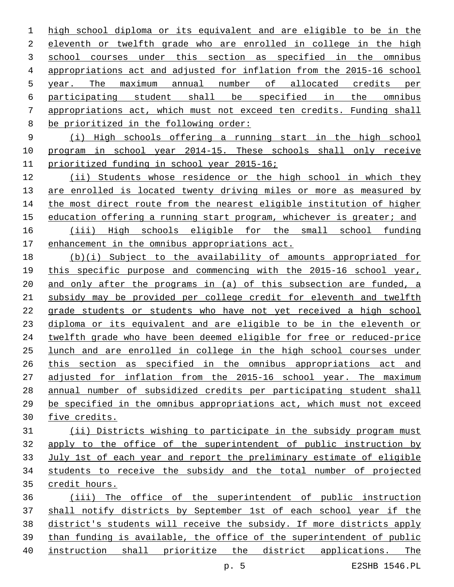high school diploma or its equivalent and are eligible to be in the eleventh or twelfth grade who are enrolled in college in the high 3 school courses under this section as specified in the omnibus appropriations act and adjusted for inflation from the 2015-16 school year. The maximum annual number of allocated credits per participating student shall be specified in the omnibus appropriations act, which must not exceed ten credits. Funding shall 8 be prioritized in the following order:

 (i) High schools offering a running start in the high school program in school year 2014-15. These schools shall only receive prioritized funding in school year 2015-16;

 (ii) Students whose residence or the high school in which they 13 are enrolled is located twenty driving miles or more as measured by 14 the most direct route from the nearest eligible institution of higher 15 education offering a running start program, whichever is greater; and (iii) High schools eligible for the small school funding

enhancement in the omnibus appropriations act.

 (b)(i) Subject to the availability of amounts appropriated for this specific purpose and commencing with the 2015-16 school year, and only after the programs in (a) of this subsection are funded, a subsidy may be provided per college credit for eleventh and twelfth grade students or students who have not yet received a high school diploma or its equivalent and are eligible to be in the eleventh or twelfth grade who have been deemed eligible for free or reduced-price lunch and are enrolled in college in the high school courses under this section as specified in the omnibus appropriations act and adjusted for inflation from the 2015-16 school year. The maximum annual number of subsidized credits per participating student shall be specified in the omnibus appropriations act, which must not exceed five credits.

 (ii) Districts wishing to participate in the subsidy program must apply to the office of the superintendent of public instruction by July 1st of each year and report the preliminary estimate of eligible students to receive the subsidy and the total number of projected credit hours.

 (iii) The office of the superintendent of public instruction shall notify districts by September 1st of each school year if the district's students will receive the subsidy. If more districts apply than funding is available, the office of the superintendent of public instruction shall prioritize the district applications. The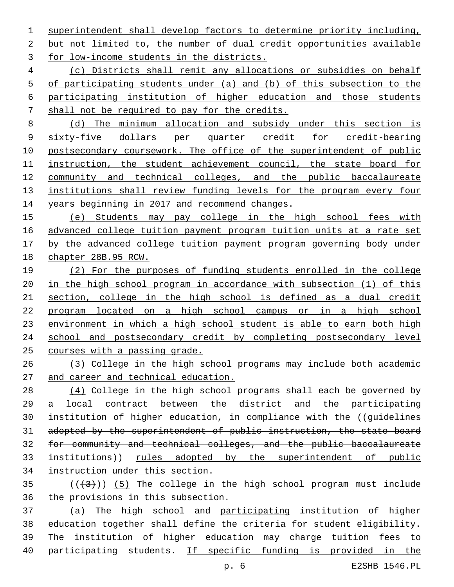superintendent shall develop factors to determine priority including, 2 but not limited to, the number of dual credit opportunities available 3 for low-income students in the districts.

 (c) Districts shall remit any allocations or subsidies on behalf of participating students under (a) and (b) of this subsection to the participating institution of higher education and those students shall not be required to pay for the credits.

 (d) The minimum allocation and subsidy under this section is sixty-five dollars per quarter credit for credit-bearing postsecondary coursework. The office of the superintendent of public instruction, the student achievement council, the state board for community and technical colleges, and the public baccalaureate 13 institutions shall review funding levels for the program every four years beginning in 2017 and recommend changes.

 (e) Students may pay college in the high school fees with advanced college tuition payment program tuition units at a rate set by the advanced college tuition payment program governing body under chapter 28B.95 RCW.

 (2) For the purposes of funding students enrolled in the college in the high school program in accordance with subsection (1) of this section, college in the high school is defined as a dual credit program located on a high school campus or in a high school 23 environment in which a high school student is able to earn both high 24 school and postsecondary credit by completing postsecondary level courses with a passing grade.

 (3) College in the high school programs may include both academic and career and technical education.

28 (4) College in the high school programs shall each be governed by a local contract between the district and the participating 30 institution of higher education, in compliance with the ((guidelines adopted by the superintendent of public instruction, the state board for community and technical colleges, and the public baccalaureate 33 institutions)) rules adopted by the superintendent of public 34 instruction under this section.

 $(1+3+1)$  (5) The college in the high school program must include 36 the provisions in this subsection.

 (a) The high school and participating institution of higher education together shall define the criteria for student eligibility. The institution of higher education may charge tuition fees to 40 participating students. If specific funding is provided in the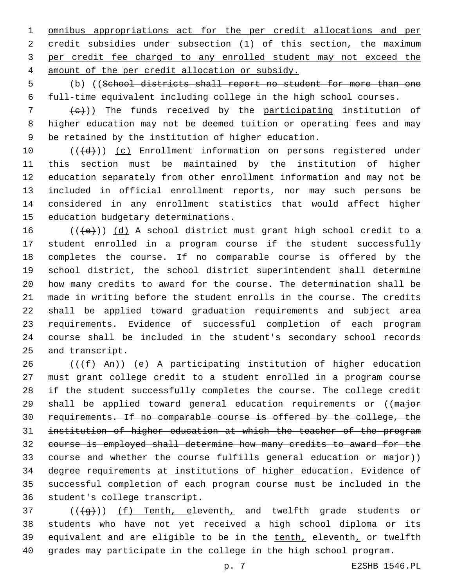omnibus appropriations act for the per credit allocations and per 2 credit subsidies under subsection (1) of this section, the maximum per credit fee charged to any enrolled student may not exceed the amount of the per credit allocation or subsidy.4

 (b) ((School districts shall report no student for more than one full-time equivalent including college in the high school courses.

 (e)) The funds received by the participating institution of higher education may not be deemed tuition or operating fees and may be retained by the institution of higher education.

10 (((+d))) (c) Enrollment information on persons registered under this section must be maintained by the institution of higher education separately from other enrollment information and may not be included in official enrollment reports, nor may such persons be considered in any enrollment statistics that would affect higher 15 education budgetary determinations.

 (( $\left(\frac{1}{16}\right)$ ) (d) A school district must grant high school credit to a student enrolled in a program course if the student successfully completes the course. If no comparable course is offered by the school district, the school district superintendent shall determine how many credits to award for the course. The determination shall be made in writing before the student enrolls in the course. The credits shall be applied toward graduation requirements and subject area requirements. Evidence of successful completion of each program course shall be included in the student's secondary school records 25 and transcript.

 (( $(f+)$  An)) (e) A participating institution of higher education must grant college credit to a student enrolled in a program course if the student successfully completes the course. The college credit 29 shall be applied toward general education requirements or ((major requirements. If no comparable course is offered by the college, the institution of higher education at which the teacher of the program course is employed shall determine how many credits to award for the course and whether the course fulfills general education or major)) 34 degree requirements at institutions of higher education. Evidence of successful completion of each program course must be included in the 36 student's college transcript.

37 (((+g)) (f) Tenth, eleventh, and twelfth grade students or students who have not yet received a high school diploma or its 39 equivalent and are eligible to be in the tenth, eleventh, or twelfth grades may participate in the college in the high school program.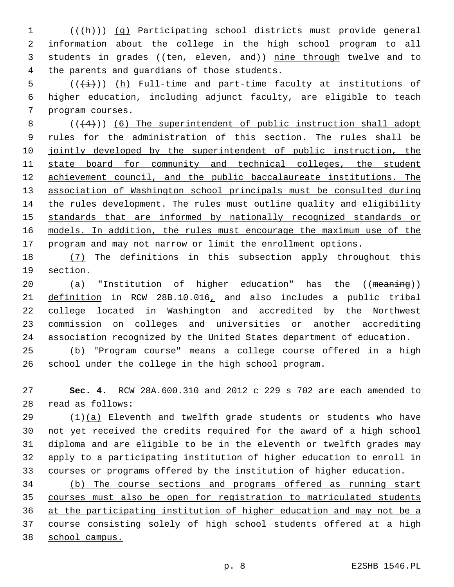(((h))) (g) Participating school districts must provide general information about the college in the high school program to all 3 students in grades ((ten, eleven, and)) nine through twelve and to 4 the parents and quardians of those students.

5  $((\overleftrightarrow{t}))$  (h) Full-time and part-time faculty at institutions of higher education, including adjunct faculty, are eligible to teach 7 program courses.

 ( $(4)$ )) (6) The superintendent of public instruction shall adopt 9 rules for the administration of this section. The rules shall be jointly developed by the superintendent of public instruction, the 11 state board for community and technical colleges, the student achievement council, and the public baccalaureate institutions. The association of Washington school principals must be consulted during the rules development. The rules must outline quality and eligibility standards that are informed by nationally recognized standards or models. In addition, the rules must encourage the maximum use of the program and may not narrow or limit the enrollment options.

 (7) The definitions in this subsection apply throughout this 19 section.

20 (a) "Institution of higher education" has the ((meaning)) definition in RCW 28B.10.016, and also includes a public tribal college located in Washington and accredited by the Northwest commission on colleges and universities or another accrediting association recognized by the United States department of education.

 (b) "Program course" means a college course offered in a high school under the college in the high school program.

 **Sec. 4.** RCW 28A.600.310 and 2012 c 229 s 702 are each amended to read as follows:28

 (1)(a) Eleventh and twelfth grade students or students who have not yet received the credits required for the award of a high school diploma and are eligible to be in the eleventh or twelfth grades may apply to a participating institution of higher education to enroll in courses or programs offered by the institution of higher education.

 (b) The course sections and programs offered as running start courses must also be open for registration to matriculated students at the participating institution of higher education and may not be a course consisting solely of high school students offered at a high school campus.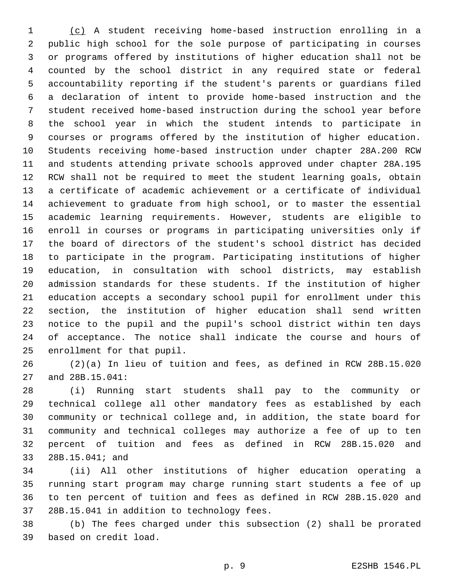(c) A student receiving home-based instruction enrolling in a public high school for the sole purpose of participating in courses or programs offered by institutions of higher education shall not be counted by the school district in any required state or federal accountability reporting if the student's parents or guardians filed a declaration of intent to provide home-based instruction and the student received home-based instruction during the school year before the school year in which the student intends to participate in courses or programs offered by the institution of higher education. Students receiving home-based instruction under chapter 28A.200 RCW and students attending private schools approved under chapter 28A.195 RCW shall not be required to meet the student learning goals, obtain a certificate of academic achievement or a certificate of individual achievement to graduate from high school, or to master the essential academic learning requirements. However, students are eligible to enroll in courses or programs in participating universities only if the board of directors of the student's school district has decided to participate in the program. Participating institutions of higher education, in consultation with school districts, may establish admission standards for these students. If the institution of higher education accepts a secondary school pupil for enrollment under this section, the institution of higher education shall send written notice to the pupil and the pupil's school district within ten days of acceptance. The notice shall indicate the course and hours of 25 enrollment for that pupil.

 (2)(a) In lieu of tuition and fees, as defined in RCW 28B.15.020 27 and 28B.15.041:

 (i) Running start students shall pay to the community or technical college all other mandatory fees as established by each community or technical college and, in addition, the state board for community and technical colleges may authorize a fee of up to ten percent of tuition and fees as defined in RCW 28B.15.020 and 33 28B.15.041; and

 (ii) All other institutions of higher education operating a running start program may charge running start students a fee of up to ten percent of tuition and fees as defined in RCW 28B.15.020 and 37 28B.15.041 in addition to technology fees.

 (b) The fees charged under this subsection (2) shall be prorated based on credit load.39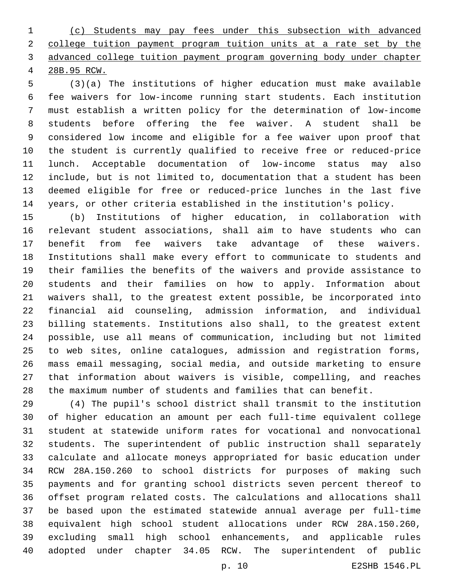(c) Students may pay fees under this subsection with advanced college tuition payment program tuition units at a rate set by the advanced college tuition payment program governing body under chapter 28B.95 RCW.

 (3)(a) The institutions of higher education must make available fee waivers for low-income running start students. Each institution must establish a written policy for the determination of low-income students before offering the fee waiver. A student shall be considered low income and eligible for a fee waiver upon proof that the student is currently qualified to receive free or reduced-price lunch. Acceptable documentation of low-income status may also include, but is not limited to, documentation that a student has been deemed eligible for free or reduced-price lunches in the last five years, or other criteria established in the institution's policy.

 (b) Institutions of higher education, in collaboration with relevant student associations, shall aim to have students who can benefit from fee waivers take advantage of these waivers. Institutions shall make every effort to communicate to students and their families the benefits of the waivers and provide assistance to students and their families on how to apply. Information about waivers shall, to the greatest extent possible, be incorporated into financial aid counseling, admission information, and individual billing statements. Institutions also shall, to the greatest extent possible, use all means of communication, including but not limited to web sites, online catalogues, admission and registration forms, mass email messaging, social media, and outside marketing to ensure that information about waivers is visible, compelling, and reaches the maximum number of students and families that can benefit.

 (4) The pupil's school district shall transmit to the institution of higher education an amount per each full-time equivalent college student at statewide uniform rates for vocational and nonvocational students. The superintendent of public instruction shall separately calculate and allocate moneys appropriated for basic education under RCW 28A.150.260 to school districts for purposes of making such payments and for granting school districts seven percent thereof to offset program related costs. The calculations and allocations shall be based upon the estimated statewide annual average per full-time equivalent high school student allocations under RCW 28A.150.260, excluding small high school enhancements, and applicable rules adopted under chapter 34.05 RCW. The superintendent of public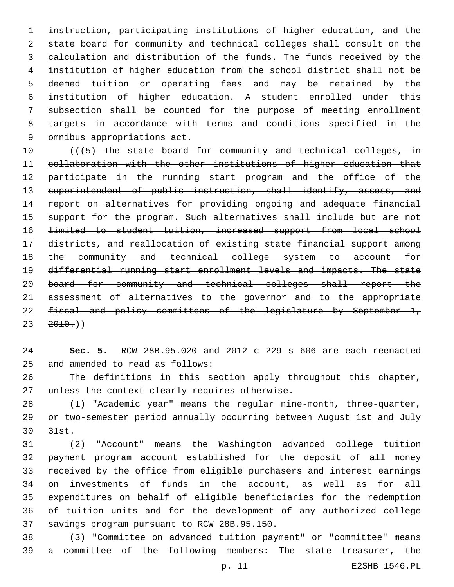instruction, participating institutions of higher education, and the state board for community and technical colleges shall consult on the calculation and distribution of the funds. The funds received by the institution of higher education from the school district shall not be deemed tuition or operating fees and may be retained by the institution of higher education. A student enrolled under this subsection shall be counted for the purpose of meeting enrollment targets in accordance with terms and conditions specified in the 9 omnibus appropriations act.

10 (((5) The state board for community and technical colleges, in collaboration with the other institutions of higher education that 12 participate in the running start program and the office of the 13 superintendent of public instruction, shall identify, assess, and report on alternatives for providing ongoing and adequate financial 15 support for the program. Such alternatives shall include but are not limited to student tuition, increased support from local school districts, and reallocation of existing state financial support among the community and technical college system to account for differential running start enrollment levels and impacts. The state board for community and technical colleges shall report the assessment of alternatives to the governor and to the appropriate 22 fiscal and policy committees of the legislature by September 1,  $23 \quad 2010.$ ))

 **Sec. 5.** RCW 28B.95.020 and 2012 c 229 s 606 are each reenacted 25 and amended to read as follows:

 The definitions in this section apply throughout this chapter, 27 unless the context clearly requires otherwise.

 (1) "Academic year" means the regular nine-month, three-quarter, or two-semester period annually occurring between August 1st and July 30 31st.

 (2) "Account" means the Washington advanced college tuition payment program account established for the deposit of all money received by the office from eligible purchasers and interest earnings on investments of funds in the account, as well as for all expenditures on behalf of eligible beneficiaries for the redemption of tuition units and for the development of any authorized college 37 savings program pursuant to RCW 28B.95.150.

 (3) "Committee on advanced tuition payment" or "committee" means a committee of the following members: The state treasurer, the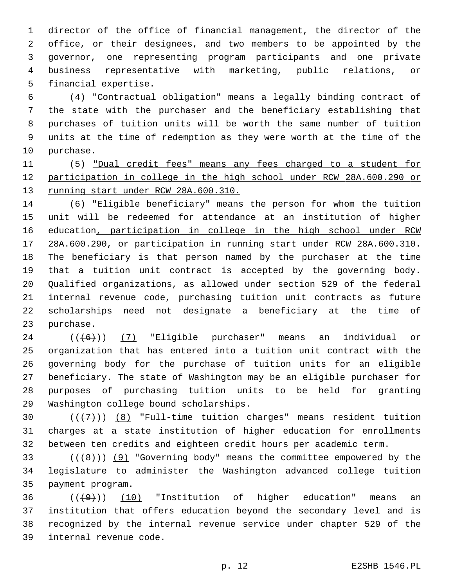director of the office of financial management, the director of the office, or their designees, and two members to be appointed by the governor, one representing program participants and one private business representative with marketing, public relations, or 5 financial expertise.

 (4) "Contractual obligation" means a legally binding contract of the state with the purchaser and the beneficiary establishing that purchases of tuition units will be worth the same number of tuition units at the time of redemption as they were worth at the time of the 10 purchase.

 (5) "Dual credit fees" means any fees charged to a student for participation in college in the high school under RCW 28A.600.290 or running start under RCW 28A.600.310.

 (6) "Eligible beneficiary" means the person for whom the tuition unit will be redeemed for attendance at an institution of higher 16 education, participation in college in the high school under RCW 28A.600.290, or participation in running start under RCW 28A.600.310. The beneficiary is that person named by the purchaser at the time that a tuition unit contract is accepted by the governing body. Qualified organizations, as allowed under section 529 of the federal internal revenue code, purchasing tuition unit contracts as future scholarships need not designate a beneficiary at the time of 23 purchase.

 (( $(6+)$ ) (7) "Eligible purchaser" means an individual or organization that has entered into a tuition unit contract with the governing body for the purchase of tuition units for an eligible beneficiary. The state of Washington may be an eligible purchaser for purposes of purchasing tuition units to be held for granting 29 Washington college bound scholarships.

30  $((+7+))$   $(8)$  "Full-time tuition charges" means resident tuition charges at a state institution of higher education for enrollments between ten credits and eighteen credit hours per academic term.

33  $((+8))$  (9) "Governing body" means the committee empowered by the legislature to administer the Washington advanced college tuition 35 payment program.

  $((+9))$   $(10)$  "Institution of higher education" means an institution that offers education beyond the secondary level and is recognized by the internal revenue service under chapter 529 of the 39 internal revenue code.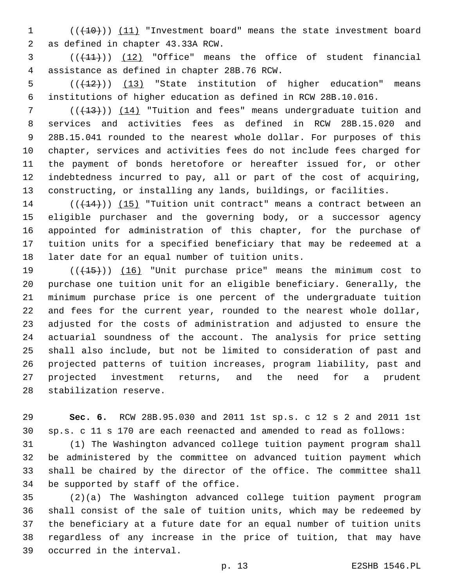1 (( $(10)$ )) (11) "Investment board" means the state investment board 2 as defined in chapter 43.33A RCW.

3 (( $(11)$ )) (12) "Office" means the office of student financial assistance as defined in chapter 28B.76 RCW.4

5  $((+12))$  (13) "State institution of higher education" means institutions of higher education as defined in RCW 28B.10.016.

 ( $(\overline{+13})$ ) (14) "Tuition and fees" means undergraduate tuition and services and activities fees as defined in RCW 28B.15.020 and 28B.15.041 rounded to the nearest whole dollar. For purposes of this chapter, services and activities fees do not include fees charged for the payment of bonds heretofore or hereafter issued for, or other indebtedness incurred to pay, all or part of the cost of acquiring, constructing, or installing any lands, buildings, or facilities.

14 (( $(14)$ )) (15) "Tuition unit contract" means a contract between an eligible purchaser and the governing body, or a successor agency appointed for administration of this chapter, for the purchase of tuition units for a specified beneficiary that may be redeemed at a 18 later date for an equal number of tuition units.

 (((15))) (16) "Unit purchase price" means the minimum cost to purchase one tuition unit for an eligible beneficiary. Generally, the minimum purchase price is one percent of the undergraduate tuition and fees for the current year, rounded to the nearest whole dollar, adjusted for the costs of administration and adjusted to ensure the actuarial soundness of the account. The analysis for price setting shall also include, but not be limited to consideration of past and projected patterns of tuition increases, program liability, past and projected investment returns, and the need for a prudent 28 stabilization reserve.

 **Sec. 6.** RCW 28B.95.030 and 2011 1st sp.s. c 12 s 2 and 2011 1st sp.s. c 11 s 170 are each reenacted and amended to read as follows:

 (1) The Washington advanced college tuition payment program shall be administered by the committee on advanced tuition payment which shall be chaired by the director of the office. The committee shall 34 be supported by staff of the office.

 (2)(a) The Washington advanced college tuition payment program shall consist of the sale of tuition units, which may be redeemed by the beneficiary at a future date for an equal number of tuition units regardless of any increase in the price of tuition, that may have 39 occurred in the interval.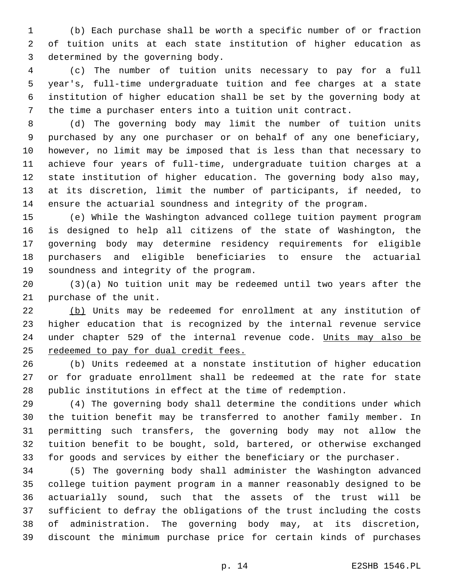(b) Each purchase shall be worth a specific number of or fraction of tuition units at each state institution of higher education as 3 determined by the governing body.

 (c) The number of tuition units necessary to pay for a full year's, full-time undergraduate tuition and fee charges at a state institution of higher education shall be set by the governing body at the time a purchaser enters into a tuition unit contract.

 (d) The governing body may limit the number of tuition units purchased by any one purchaser or on behalf of any one beneficiary, however, no limit may be imposed that is less than that necessary to achieve four years of full-time, undergraduate tuition charges at a state institution of higher education. The governing body also may, at its discretion, limit the number of participants, if needed, to ensure the actuarial soundness and integrity of the program.

 (e) While the Washington advanced college tuition payment program is designed to help all citizens of the state of Washington, the governing body may determine residency requirements for eligible purchasers and eligible beneficiaries to ensure the actuarial 19 soundness and integrity of the program.

 (3)(a) No tuition unit may be redeemed until two years after the 21 purchase of the unit.

 (b) Units may be redeemed for enrollment at any institution of higher education that is recognized by the internal revenue service 24 under chapter 529 of the internal revenue code. Units may also be 25 redeemed to pay for dual credit fees.

 (b) Units redeemed at a nonstate institution of higher education or for graduate enrollment shall be redeemed at the rate for state public institutions in effect at the time of redemption.

 (4) The governing body shall determine the conditions under which the tuition benefit may be transferred to another family member. In permitting such transfers, the governing body may not allow the tuition benefit to be bought, sold, bartered, or otherwise exchanged for goods and services by either the beneficiary or the purchaser.

 (5) The governing body shall administer the Washington advanced college tuition payment program in a manner reasonably designed to be actuarially sound, such that the assets of the trust will be sufficient to defray the obligations of the trust including the costs of administration. The governing body may, at its discretion, discount the minimum purchase price for certain kinds of purchases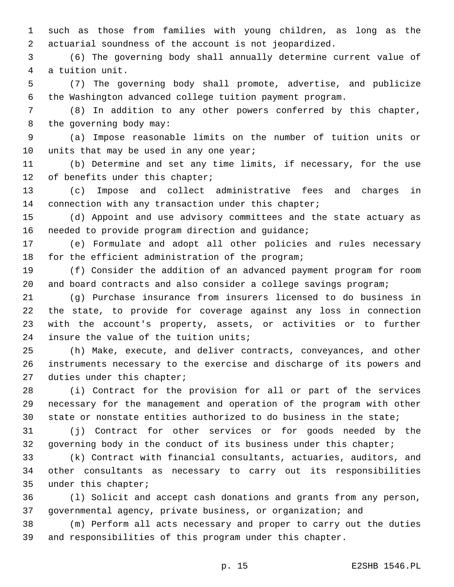such as those from families with young children, as long as the actuarial soundness of the account is not jeopardized.

 (6) The governing body shall annually determine current value of 4 a tuition unit.

 (7) The governing body shall promote, advertise, and publicize the Washington advanced college tuition payment program.

 (8) In addition to any other powers conferred by this chapter, 8 the governing body may:

 (a) Impose reasonable limits on the number of tuition units or 10 units that may be used in any one year;

 (b) Determine and set any time limits, if necessary, for the use 12 of benefits under this chapter;

 (c) Impose and collect administrative fees and charges in 14 connection with any transaction under this chapter;

 (d) Appoint and use advisory committees and the state actuary as 16 needed to provide program direction and guidance;

 (e) Formulate and adopt all other policies and rules necessary 18 for the efficient administration of the program;

 (f) Consider the addition of an advanced payment program for room and board contracts and also consider a college savings program;

 (g) Purchase insurance from insurers licensed to do business in the state, to provide for coverage against any loss in connection with the account's property, assets, or activities or to further 24 insure the value of the tuition units;

 (h) Make, execute, and deliver contracts, conveyances, and other instruments necessary to the exercise and discharge of its powers and 27 duties under this chapter;

 (i) Contract for the provision for all or part of the services necessary for the management and operation of the program with other state or nonstate entities authorized to do business in the state;

 (j) Contract for other services or for goods needed by the 32 governing body in the conduct of its business under this chapter;

 (k) Contract with financial consultants, actuaries, auditors, and other consultants as necessary to carry out its responsibilities 35 under this chapter;

 (l) Solicit and accept cash donations and grants from any person, governmental agency, private business, or organization; and

 (m) Perform all acts necessary and proper to carry out the duties and responsibilities of this program under this chapter.